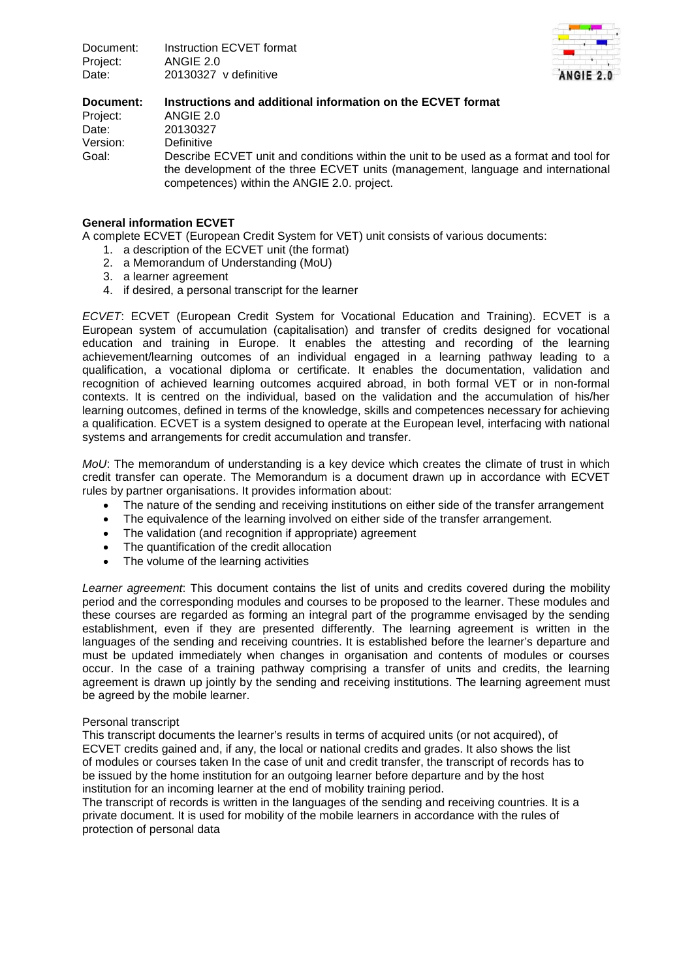

## **Document: Instructions and additional information on the ECVET format** Project: ANGIE 2.0 Date: 20130327 Version: Definitive Goal: Describe ECVET unit and conditions within the unit to be used as a format and tool for the development of the three ECVET units (management, language and international competences) within the ANGIE 2.0. project.

# **General information ECVET**

A complete ECVET (European Credit System for VET) unit consists of various documents:

- 1. a description of the ECVET unit (the format)
- 2. a Memorandum of Understanding (MoU)
- 3. a learner agreement
- 4. if desired, a personal transcript for the learner

*ECVET*: ECVET (European Credit System for Vocational Education and Training). ECVET is a European system of accumulation (capitalisation) and transfer of credits designed for vocational education and training in Europe. It enables the attesting and recording of the learning achievement/learning outcomes of an individual engaged in a learning pathway leading to a qualification, a vocational diploma or certificate. It enables the documentation, validation and recognition of achieved learning outcomes acquired abroad, in both formal VET or in non-formal contexts. It is centred on the individual, based on the validation and the accumulation of his/her learning outcomes, defined in terms of the knowledge, skills and competences necessary for achieving a qualification. ECVET is a system designed to operate at the European level, interfacing with national systems and arrangements for credit accumulation and transfer.

*MoU*: The memorandum of understanding is a key device which creates the climate of trust in which credit transfer can operate. The Memorandum is a document drawn up in accordance with ECVET rules by partner organisations. It provides information about:

- The nature of the sending and receiving institutions on either side of the transfer arrangement
- The equivalence of the learning involved on either side of the transfer arrangement.
- The validation (and recognition if appropriate) agreement
- The quantification of the credit allocation
- The volume of the learning activities

*Learner agreement*: This document contains the list of units and credits covered during the mobility period and the corresponding modules and courses to be proposed to the learner. These modules and these courses are regarded as forming an integral part of the programme envisaged by the sending establishment, even if they are presented differently. The learning agreement is written in the languages of the sending and receiving countries. It is established before the learner's departure and must be updated immediately when changes in organisation and contents of modules or courses occur. In the case of a training pathway comprising a transfer of units and credits, the learning agreement is drawn up jointly by the sending and receiving institutions. The learning agreement must be agreed by the mobile learner.

### Personal transcript

This transcript documents the learner's results in terms of acquired units (or not acquired), of ECVET credits gained and, if any, the local or national credits and grades. It also shows the list of modules or courses taken In the case of unit and credit transfer, the transcript of records has to be issued by the home institution for an outgoing learner before departure and by the host institution for an incoming learner at the end of mobility training period.

The transcript of records is written in the languages of the sending and receiving countries. It is a private document. It is used for mobility of the mobile learners in accordance with the rules of protection of personal data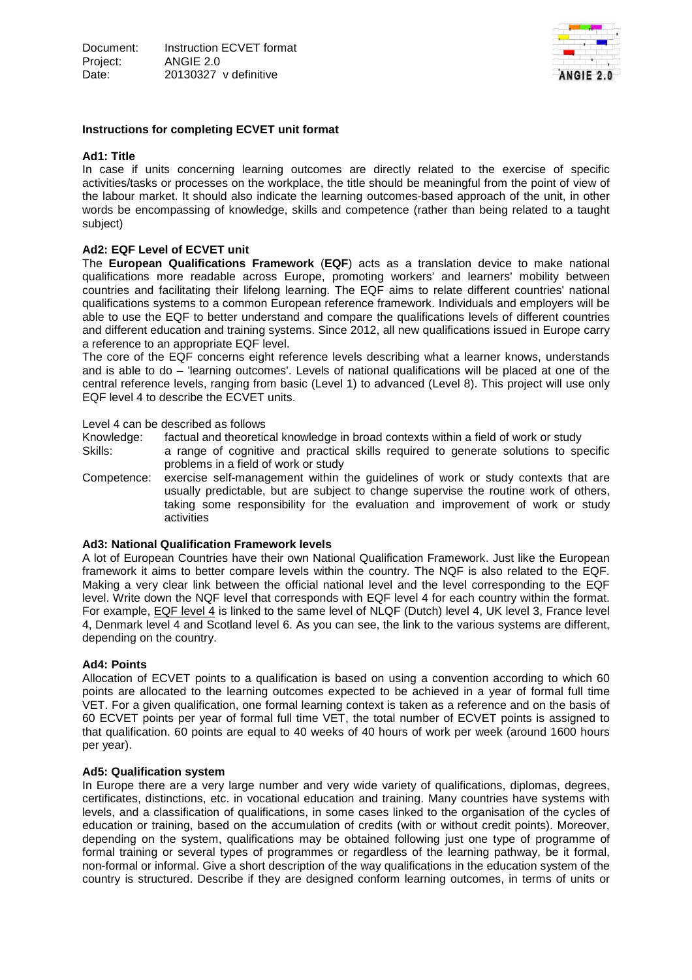

## **Instructions for completing ECVET unit format**

### **Ad1: Title**

In case if units concerning learning outcomes are directly related to the exercise of specific activities/tasks or processes on the workplace, the title should be meaningful from the point of view of the labour market. It should also indicate the learning outcomes-based approach of the unit, in other words be encompassing of knowledge, skills and competence (rather than being related to a taught subject)

# **Ad2: EQF Level of ECVET unit**

The **European Qualifications Framework** (**EQF**) acts as a translation device to make national qualifications more readable across Europe, promoting workers' and learners' mobility between countries and facilitating their lifelong learning. The EQF aims to relate different countries' national qualifications systems to a common European reference framework. Individuals and employers will be able to use the EQF to better understand and compare the qualifications levels of different countries and different education and training systems. Since 2012, all new qualifications issued in Europe carry a reference to an appropriate EQF level.

The core of the EQF concerns eight reference levels describing what a learner knows, understands and is able to do – 'learning outcomes'. Levels of national qualifications will be placed at one of the central reference levels, ranging from basic (Level 1) to advanced (Level 8). This project will use only EQF level 4 to describe the ECVET units.

#### Level 4 can be described as follows

Knowledge: factual and theoretical knowledge in broad contexts within a field of work or study

- Skills: a range of cognitive and practical skills required to generate solutions to specific problems in a field of work or study
- Competence: exercise self-management within the guidelines of work or study contexts that are usually predictable, but are subject to change supervise the routine work of others, taking some responsibility for the evaluation and improvement of work or study activities

### **Ad3: National Qualification Framework levels**

A lot of European Countries have their own National Qualification Framework. Just like the European framework it aims to better compare levels within the country. The NQF is also related to the EQF. Making a very clear link between the official national level and the level corresponding to the EQF level. Write down the NQF level that corresponds with EQF level 4 for each country within the format. For example, EQF level 4 is linked to the same level of NLQF (Dutch) level 4, UK level 3, France level 4, Denmark level 4 and Scotland level 6. As you can see, the link to the various systems are different, depending on the country.

### **Ad4: Points**

Allocation of ECVET points to a qualification is based on using a convention according to which 60 points are allocated to the learning outcomes expected to be achieved in a year of formal full time VET. For a given qualification, one formal learning context is taken as a reference and on the basis of 60 ECVET points per year of formal full time VET, the total number of ECVET points is assigned to that qualification. 60 points are equal to 40 weeks of 40 hours of work per week (around 1600 hours per year).

### **Ad5: Qualification system**

In Europe there are a very large number and very wide variety of qualifications, diplomas, degrees, certificates, distinctions, etc. in vocational education and training. Many countries have systems with levels, and a classification of qualifications, in some cases linked to the organisation of the cycles of education or training, based on the accumulation of credits (with or without credit points). Moreover, depending on the system, qualifications may be obtained following just one type of programme of formal training or several types of programmes or regardless of the learning pathway, be it formal, non-formal or informal. Give a short description of the way qualifications in the education system of the country is structured. Describe if they are designed conform learning outcomes, in terms of units or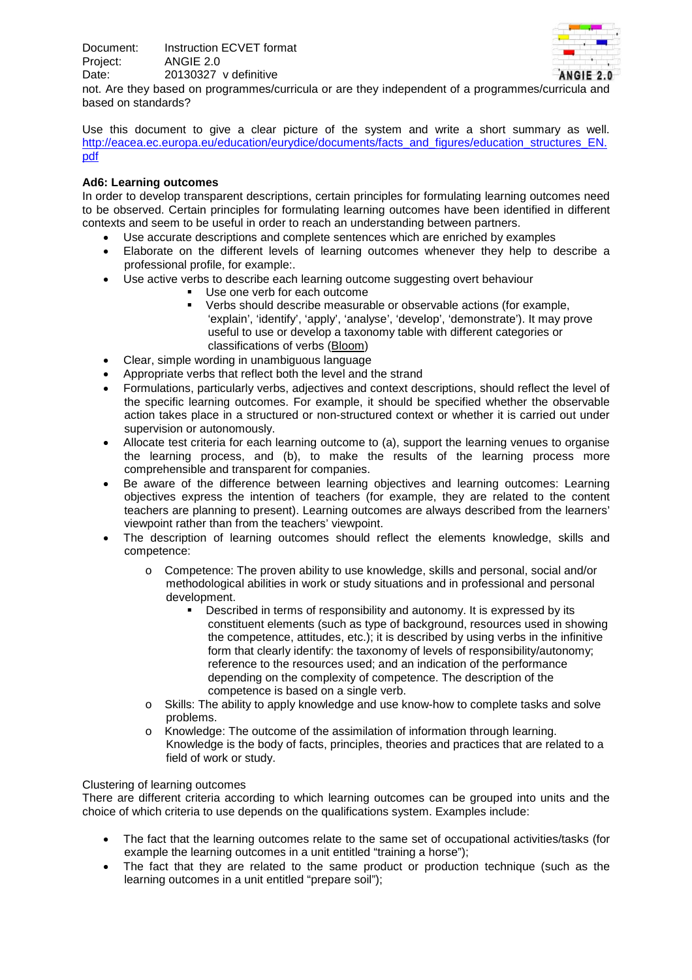

not. Are they based on programmes/curricula or are they independent of a programmes/curricula and based on standards?

Use this document to give a clear picture of the system and write a short summary as well. [http://eacea.ec.europa.eu/education/eurydice/documents/facts\\_and\\_figures/education\\_structures\\_EN.](http://eacea.ec.europa.eu/education/eurydice/documents/facts_and_figures/education_structures_EN.pdf) [pdf](http://eacea.ec.europa.eu/education/eurydice/documents/facts_and_figures/education_structures_EN.pdf)

# **Ad6: Learning outcomes**

In order to develop transparent descriptions, certain principles for formulating learning outcomes need to be observed. Certain principles for formulating learning outcomes have been identified in different contexts and seem to be useful in order to reach an understanding between partners.

- Use accurate descriptions and complete sentences which are enriched by examples
- Elaborate on the different levels of learning outcomes whenever they help to describe a professional profile, for example:.
- Use active verbs to describe each learning outcome suggesting overt behaviour
	- Use one verb for each outcome
	- Verbs should describe measurable or observable actions (for example, 'explain', 'identify', 'apply', 'analyse', 'develop', 'demonstrate'). It may prove useful to use or develop a taxonomy table with different categories or classifications of verbs (Bloom)
- Clear, simple wording in unambiguous language
- Appropriate verbs that reflect both the level and the strand
- Formulations, particularly verbs, adjectives and context descriptions, should reflect the level of the specific learning outcomes. For example, it should be specified whether the observable action takes place in a structured or non-structured context or whether it is carried out under supervision or autonomously.
- Allocate test criteria for each learning outcome to (a), support the learning venues to organise the learning process, and (b), to make the results of the learning process more comprehensible and transparent for companies.
- Be aware of the difference between learning objectives and learning outcomes: Learning objectives express the intention of teachers (for example, they are related to the content teachers are planning to present). Learning outcomes are always described from the learners' viewpoint rather than from the teachers' viewpoint.
- The description of learning outcomes should reflect the elements knowledge, skills and competence:
	- o Competence: The proven ability to use knowledge, skills and personal, social and/or methodological abilities in work or study situations and in professional and personal development.
		- **Described in terms of responsibility and autonomy. It is expressed by its** constituent elements (such as type of background, resources used in showing the competence, attitudes, etc.); it is described by using verbs in the infinitive form that clearly identify: the taxonomy of levels of responsibility/autonomy; reference to the resources used; and an indication of the performance depending on the complexity of competence. The description of the competence is based on a single verb.
	- o Skills: The ability to apply knowledge and use know-how to complete tasks and solve problems.
	- o Knowledge: The outcome of the assimilation of information through learning. Knowledge is the body of facts, principles, theories and practices that are related to a field of work or study.

### Clustering of learning outcomes

There are different criteria according to which learning outcomes can be grouped into units and the choice of which criteria to use depends on the qualifications system. Examples include:

- The fact that the learning outcomes relate to the same set of occupational activities/tasks (for example the learning outcomes in a unit entitled "training a horse");
- The fact that they are related to the same product or production technique (such as the learning outcomes in a unit entitled "prepare soil");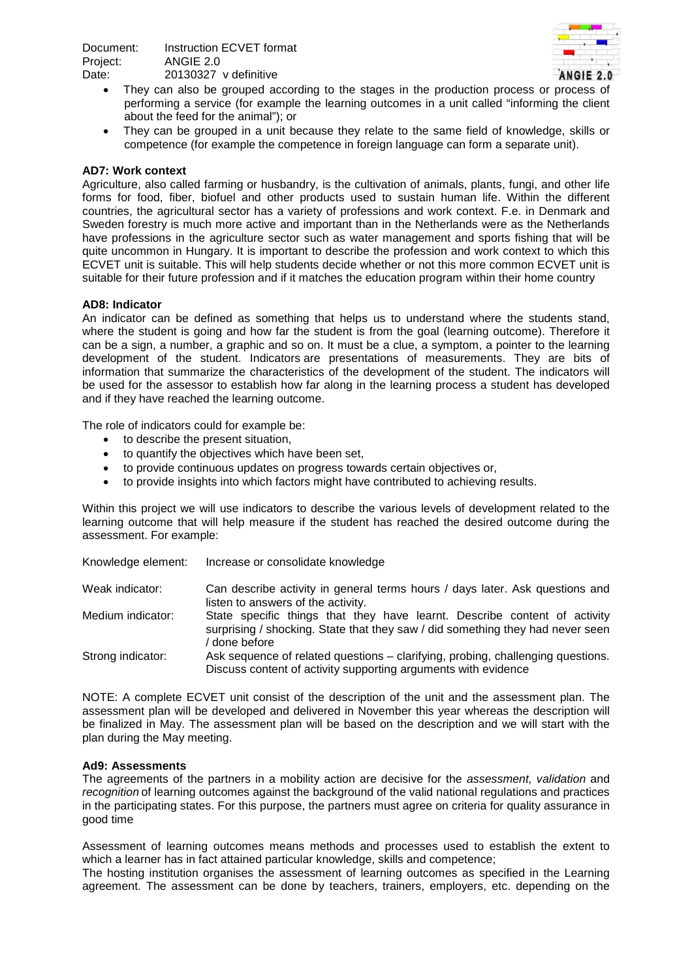

- They can also be grouped according to the stages in the production process or process of performing a service (for example the learning outcomes in a unit called "informing the client about the feed for the animal"); or
- They can be grouped in a unit because they relate to the same field of knowledge, skills or competence (for example the competence in foreign language can form a separate unit).

### **AD7: Work context**

Agriculture, also called farming or husbandry, is the cultivationof [animals,](http://en.wikipedia.org/wiki/Animals) [plants,](http://en.wikipedia.org/wiki/Plant) [fungi](http://en.wikipedia.org/wiki/Fungi), and other life formsfor [food,](http://en.wikipedia.org/wiki/Food) [fiber,](http://en.wikipedia.org/wiki/Fiber) [biofuel](http://en.wikipedia.org/wiki/Biofuel) and other products used to sustain human life. Within the different countries, the agricultural sector has a variety of professions and work context. F.e. in Denmark and Sweden forestry is much more active and important than in the Netherlands were as the Netherlands have professions in the agriculture sector such as water management and sports fishing that will be quite uncommon in Hungary. It is important to describe the profession and work context to which this ECVET unit is suitable. This will help students decide whether or not this more common ECVET unit is suitable for their future profession and if it matches the education program within their home country

### **AD8: Indicator**

An indicator can be defined as something that helps us to understand where the students stand, where the student is going and how far the student is from the goal (learning outcome). Therefore it can be a sign, a number, a graphic and so on. It must be a clue, a symptom, a pointer to the learning development of the student. Indicators are presentations of measurements. They are bits of information that summarize the characteristics of the development of the student. The indicators will be used for the assessor to establish how far along in the learning process a student has developed and if they have reached the learning outcome.

The role of indicators could for example be:

- to describe the present situation,
- to quantify the objectives which have been set,
- to provide continuous updates on progress towards certain objectives or,
- to provide insights into which factors might have contributed to achieving results.

Within this project we will use indicators to describe the various levels of development related to the learning outcome that will help measure if the student has reached the desired outcome during the assessment. For example:

| Knowledge element: | Increase or consolidate knowledge                                                                                                                                            |
|--------------------|------------------------------------------------------------------------------------------------------------------------------------------------------------------------------|
| Weak indicator:    | Can describe activity in general terms hours / days later. Ask questions and<br>listen to answers of the activity.                                                           |
| Medium indicator:  | State specific things that they have learnt. Describe content of activity<br>surprising / shocking. State that they saw / did something they had never seen<br>/ done before |
| Strong indicator:  | Ask sequence of related questions - clarifying, probing, challenging questions.<br>Discuss content of activity supporting arguments with evidence                            |

NOTE: A complete ECVET unit consist of the description of the unit and the assessment plan. The assessment plan will be developed and delivered in November this year whereas the description will be finalized in May. The assessment plan will be based on the description and we will start with the plan during the May meeting.

### **Ad9: Assessments**

The agreements of the partners in a mobility action are decisive for the *assessment, validation* and *recognition* of learning outcomes against the background of the valid national regulations and practices in the participating states. For this purpose, the partners must agree on criteria for quality assurance in good time

Assessment of learning outcomes means methods and processes used to establish the extent to which a learner has in fact attained particular knowledge, skills and competence;

The hosting institution organises the assessment of learning outcomes as specified in the Learning agreement. The assessment can be done by teachers, trainers, employers, etc. depending on the